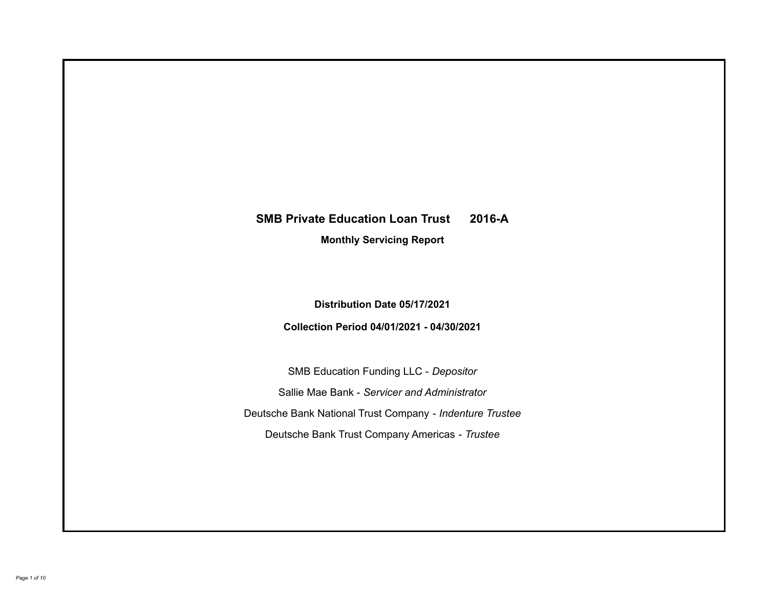# **SMB Private Education Loan Trust 2016-A**

**Monthly Servicing Report**

**Distribution Date 05/17/2021**

**Collection Period 04/01/2021 - 04/30/2021**

SMB Education Funding LLC - *Depositor* Sallie Mae Bank - *Servicer and Administrator* Deutsche Bank National Trust Company - *Indenture Trustee* Deutsche Bank Trust Company Americas - *Trustee*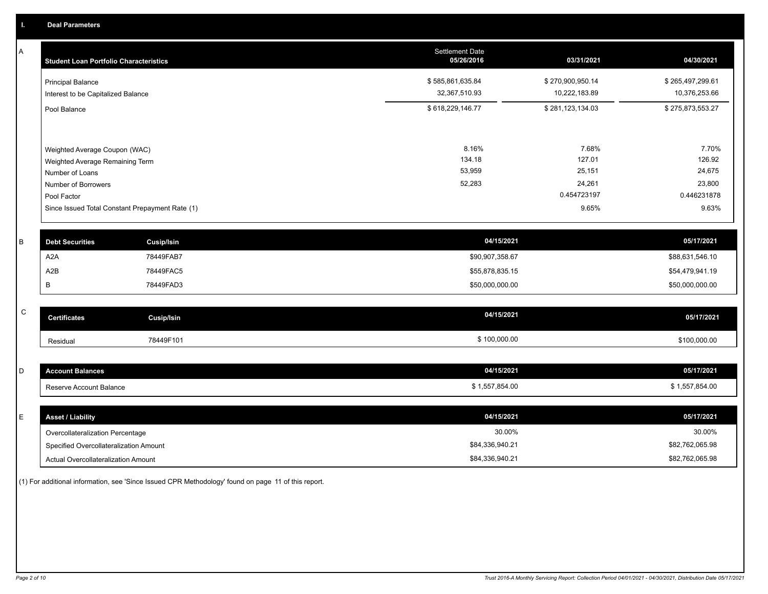A

| А         | <b>Student Loan Portfolio Characteristics</b>                  |                                                 | <b>Settlement Date</b><br>05/26/2016 | 03/31/2021                        | 04/30/2021                        |
|-----------|----------------------------------------------------------------|-------------------------------------------------|--------------------------------------|-----------------------------------|-----------------------------------|
|           | <b>Principal Balance</b><br>Interest to be Capitalized Balance |                                                 | \$585,861,635.84<br>32,367,510.93    | \$270,900,950.14<br>10,222,183.89 | \$265,497,299.61<br>10,376,253.66 |
|           | Pool Balance                                                   |                                                 | \$618,229,146.77                     | \$281,123,134.03                  | \$275,873,553.27                  |
|           | Weighted Average Coupon (WAC)                                  |                                                 | 8.16%                                | 7.68%                             | 7.70%                             |
|           | Weighted Average Remaining Term                                |                                                 | 134.18                               | 127.01                            | 126.92                            |
|           | Number of Loans                                                |                                                 | 53,959                               | 25,151                            | 24,675                            |
|           | Number of Borrowers                                            |                                                 | 52,283                               | 24,261                            | 23,800                            |
|           | Pool Factor                                                    |                                                 |                                      | 0.454723197                       | 0.446231878                       |
|           |                                                                | Since Issued Total Constant Prepayment Rate (1) |                                      | 9.65%                             | 9.63%                             |
| В         | <b>Debt Securities</b>                                         | <b>Cusip/Isin</b>                               | 04/15/2021                           |                                   | 05/17/2021                        |
|           | A <sub>2</sub> A                                               | 78449FAB7                                       | \$90,907,358.67                      |                                   | \$88,631,546.10                   |
|           | A <sub>2</sub> B                                               | 78449FAC5                                       | \$55,878,835.15                      |                                   | \$54,479,941.19                   |
|           | В                                                              | 78449FAD3                                       | \$50,000,000.00                      |                                   | \$50,000,000.00                   |
|           |                                                                |                                                 |                                      |                                   |                                   |
| ${\bf C}$ | <b>Certificates</b>                                            | <b>Cusip/Isin</b>                               | 04/15/2021                           |                                   | 05/17/2021                        |
|           | Residual                                                       | 78449F101                                       | \$100,000.00                         |                                   | \$100,000.00                      |
|           |                                                                |                                                 |                                      |                                   |                                   |
| D         | <b>Account Balances</b>                                        |                                                 | 04/15/2021                           |                                   | 05/17/2021                        |
|           | Reserve Account Balance                                        |                                                 | \$1,557,854.00                       |                                   | \$1,557,854.00                    |

| <b>Asset / Liability</b>               | 04/15/2021      | 05/17/2021      |
|----------------------------------------|-----------------|-----------------|
| Overcollateralization Percentage       | 30.00%          | 30.00%          |
| Specified Overcollateralization Amount | \$84,336,940.21 | \$82,762,065.98 |
| Actual Overcollateralization Amount    | \$84,336,940.21 | \$82,762,065.98 |

(1) For additional information, see 'Since Issued CPR Methodology' found on page 11 of this report.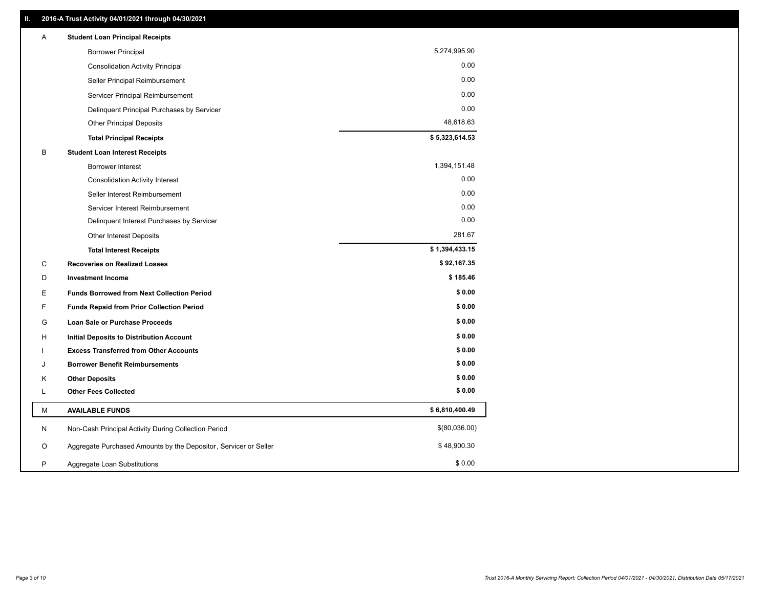| Α | <b>Student Loan Principal Receipts</b>                           |                |  |
|---|------------------------------------------------------------------|----------------|--|
|   | <b>Borrower Principal</b>                                        | 5,274,995.90   |  |
|   | <b>Consolidation Activity Principal</b>                          | 0.00           |  |
|   | Seller Principal Reimbursement                                   | 0.00           |  |
|   | Servicer Principal Reimbursement                                 | 0.00           |  |
|   | Delinquent Principal Purchases by Servicer                       | 0.00           |  |
|   | <b>Other Principal Deposits</b>                                  | 48,618.63      |  |
|   | <b>Total Principal Receipts</b>                                  | \$5,323,614.53 |  |
| B | <b>Student Loan Interest Receipts</b>                            |                |  |
|   | <b>Borrower Interest</b>                                         | 1,394,151.48   |  |
|   | <b>Consolidation Activity Interest</b>                           | 0.00           |  |
|   | Seller Interest Reimbursement                                    | 0.00           |  |
|   | Servicer Interest Reimbursement                                  | 0.00           |  |
|   | Delinquent Interest Purchases by Servicer                        | 0.00           |  |
|   | Other Interest Deposits                                          | 281.67         |  |
|   | <b>Total Interest Receipts</b>                                   | \$1,394,433.15 |  |
| C | <b>Recoveries on Realized Losses</b>                             | \$92,167.35    |  |
| D | <b>Investment Income</b>                                         | \$185.46       |  |
| Е | <b>Funds Borrowed from Next Collection Period</b>                | \$0.00         |  |
| F | <b>Funds Repaid from Prior Collection Period</b>                 | \$0.00         |  |
| G | Loan Sale or Purchase Proceeds                                   | \$0.00         |  |
| н | <b>Initial Deposits to Distribution Account</b>                  | \$0.00         |  |
|   | <b>Excess Transferred from Other Accounts</b>                    | \$0.00         |  |
| J | <b>Borrower Benefit Reimbursements</b>                           | \$0.00         |  |
| Κ | <b>Other Deposits</b>                                            | \$0.00         |  |
| L | <b>Other Fees Collected</b>                                      | \$0.00         |  |
| М | <b>AVAILABLE FUNDS</b>                                           | \$6,810,400.49 |  |
| N | Non-Cash Principal Activity During Collection Period             | \$(80,036.00)  |  |
| O | Aggregate Purchased Amounts by the Depositor, Servicer or Seller | \$48,900.30    |  |
| P | Aggregate Loan Substitutions                                     | \$0.00         |  |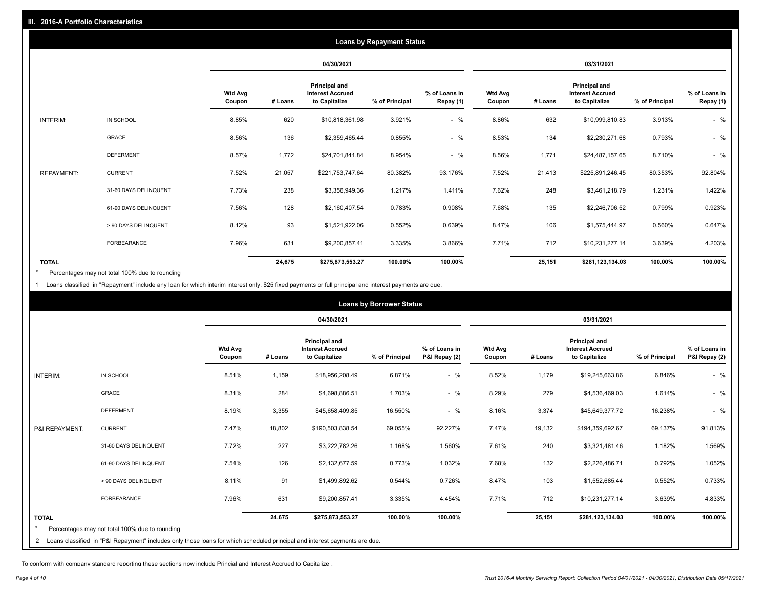|                   |                       |                          |            |                                                           | <b>Loans by Repayment Status</b> |                            |                   |         |                                                           |                |                            |
|-------------------|-----------------------|--------------------------|------------|-----------------------------------------------------------|----------------------------------|----------------------------|-------------------|---------|-----------------------------------------------------------|----------------|----------------------------|
|                   |                       |                          | 04/30/2021 |                                                           | 03/31/2021                       |                            |                   |         |                                                           |                |                            |
|                   |                       | <b>Wtd Avg</b><br>Coupon | # Loans    | Principal and<br><b>Interest Accrued</b><br>to Capitalize | % of Principal                   | % of Loans in<br>Repay (1) | Wtd Avg<br>Coupon | # Loans | Principal and<br><b>Interest Accrued</b><br>to Capitalize | % of Principal | % of Loans in<br>Repay (1) |
| INTERIM:          | IN SCHOOL             | 8.85%                    | 620        | \$10,818,361.98                                           | 3.921%                           | $-$ %                      | 8.86%             | 632     | \$10,999,810.83                                           | 3.913%         | $-$ %                      |
|                   | GRACE                 | 8.56%                    | 136        | \$2,359,465.44                                            | 0.855%                           | $-$ %                      | 8.53%             | 134     | \$2,230,271.68                                            | 0.793%         | $-$ %                      |
|                   | <b>DEFERMENT</b>      | 8.57%                    | 1,772      | \$24,701,841.84                                           | 8.954%                           | $-$ %                      | 8.56%             | 1,771   | \$24,487,157.65                                           | 8.710%         | $-$ %                      |
| <b>REPAYMENT:</b> | <b>CURRENT</b>        | 7.52%                    | 21,057     | \$221,753,747.64                                          | 80.382%                          | 93.176%                    | 7.52%             | 21,413  | \$225,891,246.45                                          | 80.353%        | 92.804%                    |
|                   | 31-60 DAYS DELINQUENT | 7.73%                    | 238        | \$3,356,949.36                                            | 1.217%                           | 1.411%                     | 7.62%             | 248     | \$3,461,218.79                                            | 1.231%         | 1.422%                     |
|                   | 61-90 DAYS DELINQUENT | 7.56%                    | 128        | \$2,160,407.54                                            | 0.783%                           | 0.908%                     | 7.68%             | 135     | \$2,246,706.52                                            | 0.799%         | 0.923%                     |
|                   | > 90 DAYS DELINQUENT  | 8.12%                    | 93         | \$1,521,922.06                                            | 0.552%                           | 0.639%                     | 8.47%             | 106     | \$1,575,444.97                                            | 0.560%         | 0.647%                     |
|                   | <b>FORBEARANCE</b>    | 7.96%                    | 631        | \$9,200,857.41                                            | 3.335%                           | 3.866%                     | 7.71%             | 712     | \$10,231,277.14                                           | 3.639%         | 4.203%                     |
| <b>TOTAL</b>      |                       |                          | 24,675     | \$275,873,553.27                                          | 100.00%                          | 100.00%                    |                   | 25,151  | \$281,123,134.03                                          | 100.00%        | 100.00%                    |

Percentages may not total 100% due to rounding \*

1 Loans classified in "Repayment" include any loan for which interim interest only, \$25 fixed payments or full principal and interest payments are due.

|                 |                                                                                                                              |                          |         |                                                                  | <b>Loans by Borrower Status</b> |                                |                          |         |                                                                  |                |                                |
|-----------------|------------------------------------------------------------------------------------------------------------------------------|--------------------------|---------|------------------------------------------------------------------|---------------------------------|--------------------------------|--------------------------|---------|------------------------------------------------------------------|----------------|--------------------------------|
|                 |                                                                                                                              |                          |         | 04/30/2021                                                       |                                 |                                |                          |         | 03/31/2021                                                       |                |                                |
|                 |                                                                                                                              | <b>Wtd Avg</b><br>Coupon | # Loans | <b>Principal and</b><br><b>Interest Accrued</b><br>to Capitalize | % of Principal                  | % of Loans in<br>P&I Repay (2) | <b>Wtd Avg</b><br>Coupon | # Loans | <b>Principal and</b><br><b>Interest Accrued</b><br>to Capitalize | % of Principal | % of Loans in<br>P&I Repay (2) |
| <b>INTERIM:</b> | IN SCHOOL                                                                                                                    | 8.51%                    | 1,159   | \$18,956,208.49                                                  | 6.871%                          | $-$ %                          | 8.52%                    | 1,179   | \$19,245,663.86                                                  | 6.846%         | $-$ %                          |
|                 | <b>GRACE</b>                                                                                                                 | 8.31%                    | 284     | \$4,698,886.51                                                   | 1.703%                          | $-$ %                          | 8.29%                    | 279     | \$4,536,469.03                                                   | 1.614%         | $-$ %                          |
|                 | <b>DEFERMENT</b>                                                                                                             | 8.19%                    | 3,355   | \$45,658,409.85                                                  | 16.550%                         | $-$ %                          | 8.16%                    | 3,374   | \$45,649,377.72                                                  | 16.238%        | $-$ %                          |
| P&I REPAYMENT:  | <b>CURRENT</b>                                                                                                               | 7.47%                    | 18,802  | \$190,503,838.54                                                 | 69.055%                         | 92.227%                        | 7.47%                    | 19,132  | \$194,359,692.67                                                 | 69.137%        | 91.813%                        |
|                 | 31-60 DAYS DELINQUENT                                                                                                        | 7.72%                    | 227     | \$3,222,782.26                                                   | 1.168%                          | 1.560%                         | 7.61%                    | 240     | \$3,321,481.46                                                   | 1.182%         | 1.569%                         |
|                 | 61-90 DAYS DELINQUENT                                                                                                        | 7.54%                    | 126     | \$2,132,677.59                                                   | 0.773%                          | 1.032%                         | 7.68%                    | 132     | \$2,226,486.71                                                   | 0.792%         | 1.052%                         |
|                 | > 90 DAYS DELINQUENT                                                                                                         | 8.11%                    | 91      | \$1,499,892.62                                                   | 0.544%                          | 0.726%                         | 8.47%                    | 103     | \$1,552,685.44                                                   | 0.552%         | 0.733%                         |
|                 | <b>FORBEARANCE</b>                                                                                                           | 7.96%                    | 631     | \$9,200,857.41                                                   | 3.335%                          | 4.454%                         | 7.71%                    | 712     | \$10,231,277.14                                                  | 3.639%         | 4.833%                         |
| <b>TOTAL</b>    | Percentages may not total 100% due to rounding                                                                               |                          | 24,675  | \$275,873,553.27                                                 | 100.00%                         | 100.00%                        |                          | 25,151  | \$281,123,134.03                                                 | 100.00%        | 100.00%                        |
|                 | 2 Loans classified in "P&I Repayment" includes only those loans for which scheduled principal and interest payments are due. |                          |         |                                                                  |                                 |                                |                          |         |                                                                  |                |                                |

To conform with company standard reporting these sections now include Princial and Interest Accrued to Capitalize .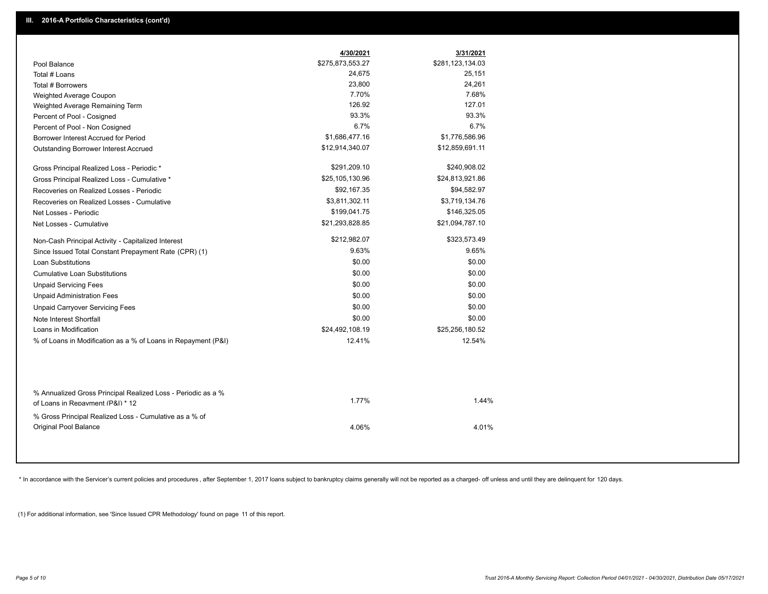|                                                                                                  | 4/30/2021        | 3/31/2021        |
|--------------------------------------------------------------------------------------------------|------------------|------------------|
| Pool Balance                                                                                     | \$275,873,553.27 | \$281,123,134.03 |
| Total # Loans                                                                                    | 24,675           | 25,151           |
| Total # Borrowers                                                                                | 23,800           | 24,261           |
| Weighted Average Coupon                                                                          | 7.70%            | 7.68%            |
| Weighted Average Remaining Term                                                                  | 126.92           | 127.01           |
| Percent of Pool - Cosigned                                                                       | 93.3%            | 93.3%            |
| Percent of Pool - Non Cosigned                                                                   | 6.7%             | 6.7%             |
| Borrower Interest Accrued for Period                                                             | \$1,686,477.16   | \$1,776,586.96   |
| Outstanding Borrower Interest Accrued                                                            | \$12,914,340.07  | \$12,859,691.11  |
| Gross Principal Realized Loss - Periodic *                                                       | \$291,209.10     | \$240,908.02     |
| Gross Principal Realized Loss - Cumulative *                                                     | \$25,105,130.96  | \$24,813,921.86  |
| Recoveries on Realized Losses - Periodic                                                         | \$92,167.35      | \$94,582.97      |
| Recoveries on Realized Losses - Cumulative                                                       | \$3,811,302.11   | \$3,719,134.76   |
| Net Losses - Periodic                                                                            | \$199,041.75     | \$146,325.05     |
| Net Losses - Cumulative                                                                          | \$21,293,828.85  | \$21,094,787.10  |
| Non-Cash Principal Activity - Capitalized Interest                                               | \$212,982.07     | \$323,573.49     |
| Since Issued Total Constant Prepayment Rate (CPR) (1)                                            | 9.63%            | 9.65%            |
| <b>Loan Substitutions</b>                                                                        | \$0.00           | \$0.00           |
| <b>Cumulative Loan Substitutions</b>                                                             | \$0.00           | \$0.00           |
| <b>Unpaid Servicing Fees</b>                                                                     | \$0.00           | \$0.00           |
| <b>Unpaid Administration Fees</b>                                                                | \$0.00           | \$0.00           |
| <b>Unpaid Carryover Servicing Fees</b>                                                           | \$0.00           | \$0.00           |
| Note Interest Shortfall                                                                          | \$0.00           | \$0.00           |
| Loans in Modification                                                                            | \$24,492,108.19  | \$25,256,180.52  |
| % of Loans in Modification as a % of Loans in Repayment (P&I)                                    | 12.41%           | 12.54%           |
|                                                                                                  |                  |                  |
| % Annualized Gross Principal Realized Loss - Periodic as a %<br>of Loans in Repayment (P&I) * 12 | 1.77%            | 1.44%            |
| % Gross Principal Realized Loss - Cumulative as a % of<br>Original Pool Balance                  | 4.06%            | 4.01%            |

\* In accordance with the Servicer's current policies and procedures, after September 1, 2017 loans subject to bankruptcy claims generally will not be reported as a charged- off unless and until they are delinquent for 120

(1) For additional information, see 'Since Issued CPR Methodology' found on page 11 of this report.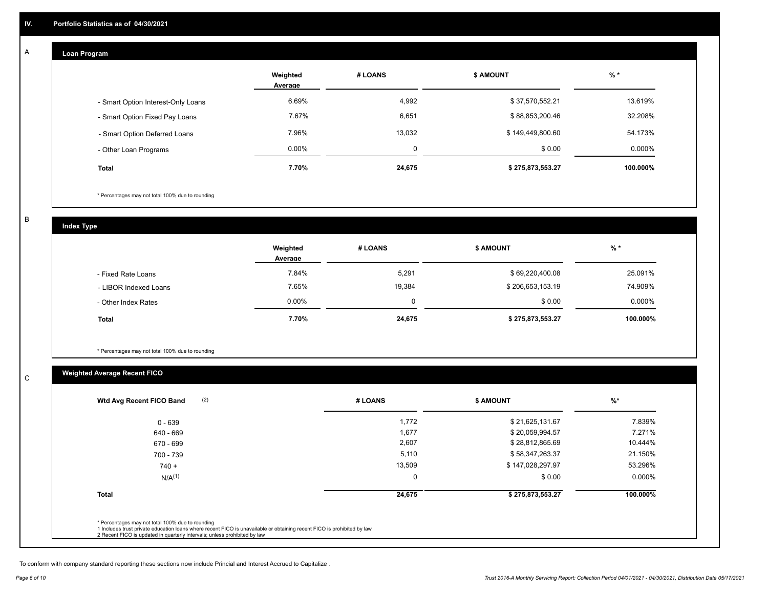#### **Loan Program**  A

|                                    | Weighted<br>Average | # LOANS | <b>\$ AMOUNT</b> | $%$ *    |
|------------------------------------|---------------------|---------|------------------|----------|
| - Smart Option Interest-Only Loans | 6.69%               | 4,992   | \$37,570,552.21  | 13.619%  |
| - Smart Option Fixed Pay Loans     | 7.67%               | 6,651   | \$88,853,200.46  | 32.208%  |
| - Smart Option Deferred Loans      | 7.96%               | 13.032  | \$149,449,800.60 | 54.173%  |
| - Other Loan Programs              | $0.00\%$            | 0       | \$0.00           | 0.000%   |
| <b>Total</b>                       | 7.70%               | 24,675  | \$275,873,553.27 | 100.000% |

\* Percentages may not total 100% due to rounding

B

C

**Index Type**

|                       | Weighted<br>Average | # LOANS | \$ AMOUNT        | % *       |
|-----------------------|---------------------|---------|------------------|-----------|
| - Fixed Rate Loans    | 7.84%               | 5,291   | \$69,220,400.08  | 25.091%   |
| - LIBOR Indexed Loans | 7.65%               | 19,384  | \$206,653,153.19 | 74.909%   |
| - Other Index Rates   | $0.00\%$            | 0       | \$0.00           | $0.000\%$ |
| <b>Total</b>          | 7.70%               | 24,675  | \$275,873,553.27 | 100.000%  |

\* Percentages may not total 100% due to rounding

# **Weighted Average Recent FICO**

| 1,772<br>\$21,625,131.67<br>$0 - 639$<br>1,677<br>\$20,059,994.57<br>640 - 669<br>2,607<br>\$28,812,865.69<br>670 - 699<br>5,110<br>\$58,347,263.37<br>700 - 739<br>13,509<br>\$147,028,297.97<br>$740 +$<br>0<br>\$0.00<br>$N/A^{(1)}$ |  |           |
|-----------------------------------------------------------------------------------------------------------------------------------------------------------------------------------------------------------------------------------------|--|-----------|
|                                                                                                                                                                                                                                         |  | 7.839%    |
|                                                                                                                                                                                                                                         |  | 7.271%    |
|                                                                                                                                                                                                                                         |  | 10.444%   |
|                                                                                                                                                                                                                                         |  | 21.150%   |
|                                                                                                                                                                                                                                         |  | 53.296%   |
|                                                                                                                                                                                                                                         |  | $0.000\%$ |
| <b>Total</b><br>24,675<br>\$275,873,553.27                                                                                                                                                                                              |  | 100.000%  |

To conform with company standard reporting these sections now include Princial and Interest Accrued to Capitalize .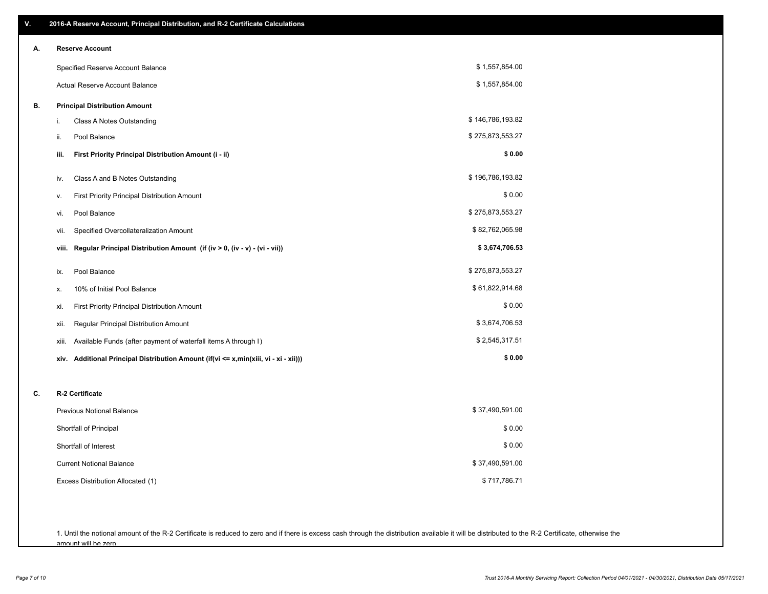| V. | 2016-A Reserve Account, Principal Distribution, and R-2 Certificate Calculations     |                  |
|----|--------------------------------------------------------------------------------------|------------------|
| А. | <b>Reserve Account</b>                                                               |                  |
|    | Specified Reserve Account Balance                                                    | \$1,557,854.00   |
|    | Actual Reserve Account Balance                                                       | \$1,557,854.00   |
| В. | <b>Principal Distribution Amount</b>                                                 |                  |
|    | Class A Notes Outstanding<br>i.                                                      | \$146,786,193.82 |
|    | Pool Balance<br>ii.                                                                  | \$275,873,553.27 |
|    | First Priority Principal Distribution Amount (i - ii)<br>iii.                        | \$0.00           |
|    | Class A and B Notes Outstanding<br>iv.                                               | \$196,786,193.82 |
|    | First Priority Principal Distribution Amount<br>۷.                                   | \$0.00           |
|    | Pool Balance<br>vi.                                                                  | \$275,873,553.27 |
|    | Specified Overcollateralization Amount<br>vii.                                       | \$82,762,065.98  |
|    | Regular Principal Distribution Amount (if (iv > 0, (iv - v) - (vi - vii))<br>viii.   | \$3,674,706.53   |
|    | Pool Balance<br>ix.                                                                  | \$275,873,553.27 |
|    | 10% of Initial Pool Balance<br>х.                                                    | \$61,822,914.68  |
|    | First Priority Principal Distribution Amount<br>xi.                                  | \$0.00           |
|    | Regular Principal Distribution Amount<br>xii.                                        | \$3,674,706.53   |
|    | Available Funds (after payment of waterfall items A through I)<br>xiii.              | \$2,545,317.51   |
|    | xiv. Additional Principal Distribution Amount (if(vi <= x,min(xiii, vi - xi - xii))) | \$0.00           |
| С. | R-2 Certificate                                                                      |                  |
|    | <b>Previous Notional Balance</b>                                                     | \$37,490,591.00  |
|    | Shortfall of Principal                                                               | \$0.00           |
|    | Shortfall of Interest                                                                | \$0.00           |
|    | <b>Current Notional Balance</b>                                                      | \$37,490,591.00  |
|    | Excess Distribution Allocated (1)                                                    | \$717,786.71     |
|    |                                                                                      |                  |
|    |                                                                                      |                  |

1. Until the notional amount of the R-2 Certificate is reduced to zero and if there is excess cash through the distribution available it will be distributed to the R-2 Certificate, otherwise the amount will be zero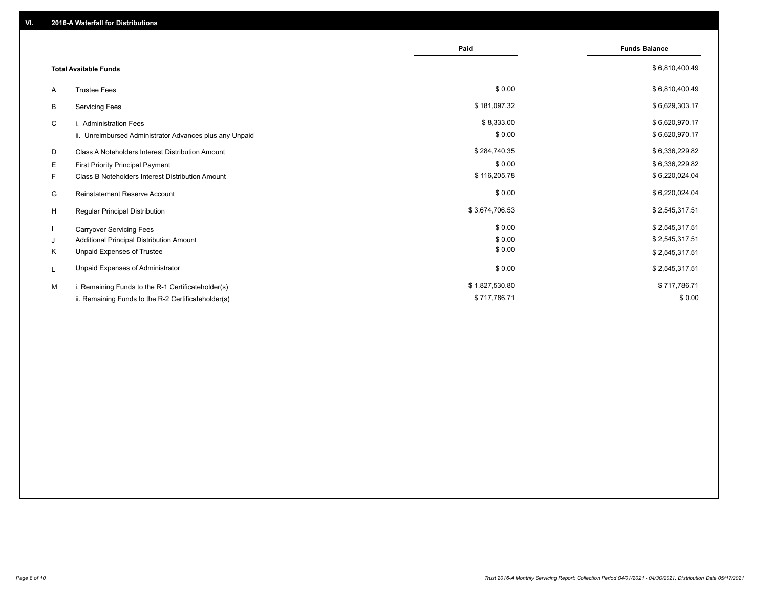|    |                                                         | Paid           | <b>Funds Balance</b> |
|----|---------------------------------------------------------|----------------|----------------------|
|    | <b>Total Available Funds</b>                            |                | \$6,810,400.49       |
| A  | <b>Trustee Fees</b>                                     | \$0.00         | \$6,810,400.49       |
| В  | <b>Servicing Fees</b>                                   | \$181,097.32   | \$6,629,303.17       |
| C  | i. Administration Fees                                  | \$8,333.00     | \$6,620,970.17       |
|    | ii. Unreimbursed Administrator Advances plus any Unpaid | \$0.00         | \$6,620,970.17       |
| D  | Class A Noteholders Interest Distribution Amount        | \$284,740.35   | \$6,336,229.82       |
| Е  | First Priority Principal Payment                        | \$0.00         | \$6,336,229.82       |
| F. | Class B Noteholders Interest Distribution Amount        | \$116,205.78   | \$6,220,024.04       |
| G  | <b>Reinstatement Reserve Account</b>                    | \$0.00         | \$6,220,024.04       |
| H  | Regular Principal Distribution                          | \$3,674,706.53 | \$2,545,317.51       |
|    | <b>Carryover Servicing Fees</b>                         | \$0.00         | \$2,545,317.51       |
| J  | Additional Principal Distribution Amount                | \$0.00         | \$2,545,317.51       |
| Κ  | Unpaid Expenses of Trustee                              | \$0.00         | \$2,545,317.51       |
| L  | Unpaid Expenses of Administrator                        | \$0.00         | \$2,545,317.51       |
| M  | i. Remaining Funds to the R-1 Certificateholder(s)      | \$1,827,530.80 | \$717,786.71         |
|    | ii. Remaining Funds to the R-2 Certificateholder(s)     | \$717,786.71   | \$0.00               |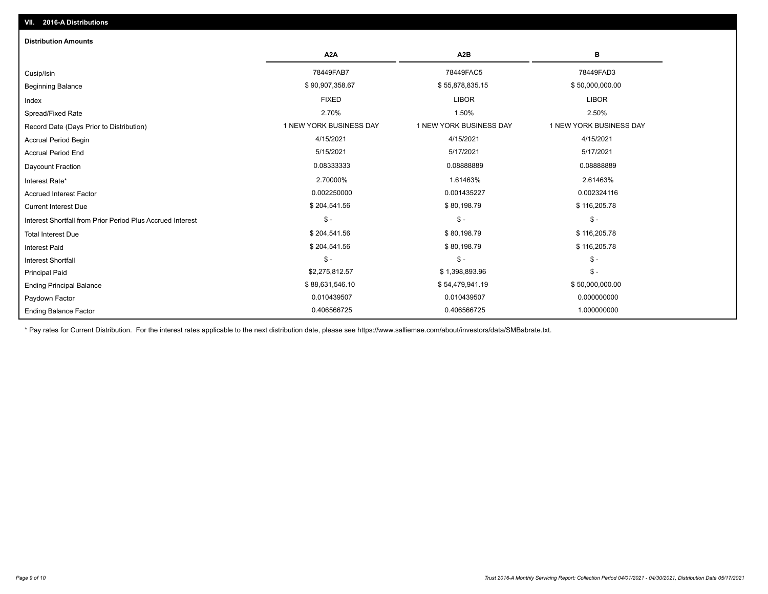| <b>Distribution Amounts</b>                                |                         |                         |                         |
|------------------------------------------------------------|-------------------------|-------------------------|-------------------------|
|                                                            | A <sub>2</sub> A        | A <sub>2</sub> B        | в                       |
| Cusip/Isin                                                 | 78449FAB7               | 78449FAC5               | 78449FAD3               |
| <b>Beginning Balance</b>                                   | \$90,907,358.67         | \$55,878,835.15         | \$50,000,000.00         |
| Index                                                      | <b>FIXED</b>            | <b>LIBOR</b>            | <b>LIBOR</b>            |
| Spread/Fixed Rate                                          | 2.70%                   | 1.50%                   | 2.50%                   |
| Record Date (Days Prior to Distribution)                   | 1 NEW YORK BUSINESS DAY | 1 NEW YORK BUSINESS DAY | 1 NEW YORK BUSINESS DAY |
| <b>Accrual Period Begin</b>                                | 4/15/2021               | 4/15/2021               | 4/15/2021               |
| <b>Accrual Period End</b>                                  | 5/15/2021               | 5/17/2021               | 5/17/2021               |
| Daycount Fraction                                          | 0.08333333              | 0.08888889              | 0.0888889               |
| Interest Rate*                                             | 2.70000%                | 1.61463%                | 2.61463%                |
| <b>Accrued Interest Factor</b>                             | 0.002250000             | 0.001435227             | 0.002324116             |
| <b>Current Interest Due</b>                                | \$204,541.56            | \$80,198.79             | \$116,205.78            |
| Interest Shortfall from Prior Period Plus Accrued Interest | $\mathsf{\$}$ -         | $$ -$                   | $\mathsf{\$}$ -         |
| <b>Total Interest Due</b>                                  | \$204,541.56            | \$80,198.79             | \$116,205.78            |
| <b>Interest Paid</b>                                       | \$204,541.56            | \$80,198.79             | \$116,205.78            |
| <b>Interest Shortfall</b>                                  | $\mathsf{\$}$ -         | $$ -$                   | $\mathsf{\$}$ -         |
| <b>Principal Paid</b>                                      | \$2,275,812.57          | \$1,398,893.96          | $\mathsf{\$}$ -         |
| <b>Ending Principal Balance</b>                            | \$88,631,546.10         | \$54,479,941.19         | \$50,000,000.00         |
| Paydown Factor                                             | 0.010439507             | 0.010439507             | 0.000000000             |
| <b>Ending Balance Factor</b>                               | 0.406566725             | 0.406566725             | 1.000000000             |

\* Pay rates for Current Distribution. For the interest rates applicable to the next distribution date, please see https://www.salliemae.com/about/investors/data/SMBabrate.txt.

**VII. 2016-A Distributions**